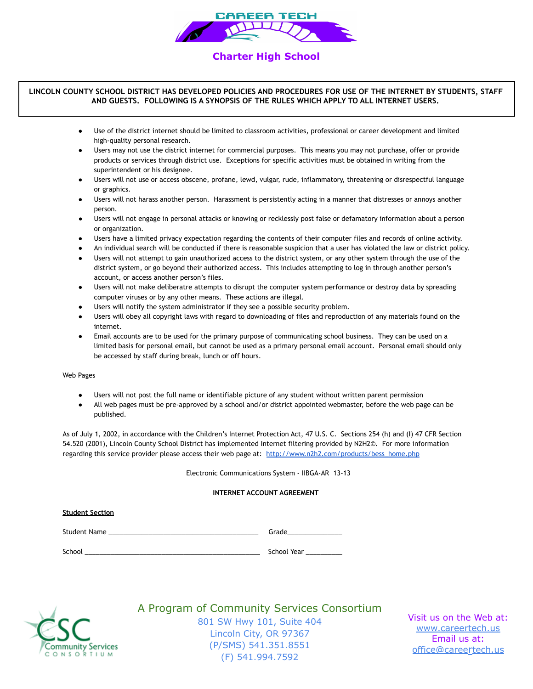

# **Charter High School**

### **LINCOLN COUNTY SCHOOL DISTRICT HAS DEVELOPED POLICIES AND PROCEDURES FOR USE OF THE INTERNET BY STUDENTS, STAFF AND GUESTS. FOLLOWING IS A SYNOPSIS OF THE RULES WHICH APPLY TO ALL INTERNET USERS.**

- ● Use of the district internet should be limited to classroom activities, professional or career development and limited high-quality personal research.
- ● Users may not use the district internet for commercial purposes. This means you may not purchase, offer or provide products or services through district use. Exceptions for specific activities must be obtained in writing from the superintendent or his designee.
- ● Users will not use or access obscene, profane, lewd, vulgar, rude, inflammatory, threatening or disrespectful language or graphics.
- ● Users will not harass another person. Harassment is persistently acting in a manner that distresses or annoys another person.
- ● Users will not engage in personal attacks or knowing or recklessly post false or defamatory information about a person or organization.
- Users have a limited privacy expectation regarding the contents of their computer files and records of online activity.
- An individual search will be conducted if there is reasonable suspicion that a user has violated the law or district policy.
- ● Users will not attempt to gain unauthorized access to the district system, or any other system through the use of the district system, or go beyond their authorized access. This includes attempting to log in through another person's account, or access another person's files.
- ● Users will not make deliberatre attempts to disrupt the computer system performance or destroy data by spreading computer viruses or by any other means. These actions are illegal.
- Users will notify the system administrator if they see a possible security problem.
- ● Users will obey all copyright laws with regard to downloading of files and reproduction of any materials found on the internet.
- ● Email accounts are to be used for the primary purpose of communicating school business. They can be used on a limited basis for personal email, but cannot be used as a primary personal email account. Personal email should only be accessed by staff during break, lunch or off hours.

Web Pages

- Users will not post the full name or identifiable picture of any student without written parent permission
- ● All web pages must be pre-approved by a school and/or district appointed webmaster, before the web page can be published.

 As of July 1, 2002, in accordance with the Children's Internet Protection Act, 47 U.S. C. Sections 254 (h) and (I) 47 CFR Section 54.520 (2001), Lincoln County School District has implemented Internet filtering provided by N2H2©. For more information regarding this service provider please access their web page at: [http://www.n2h2.com/products/bess\\_home.php](http://www.n2h2.com/products/bess_home.php)

Electronic Communications System - IIBGA-AR 13-13

### **INTERNET ACCOUNT AGREEMENT**

| <b>Student Section</b> |             |
|------------------------|-------------|
| Student Name           | Grade       |
| School                 | School Year |

**Community Services** CONSORTIUM

A Program of Community Services Consortium

 801 SW Hwy 101, Suite 404 Lincoln City, OR 97367 (P/SMS) 541.351.8551 (F) 541.994.7592

 Visit us on the Web at: Email us at: [www.careertech.us](http://www.careertech.us) office@careertech.us